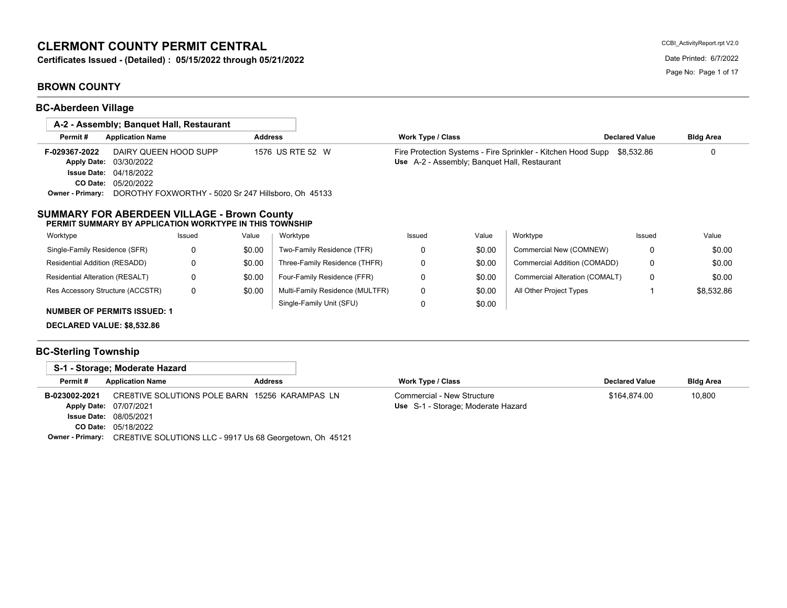# **CLERMONT COUNTY PERMIT CENTRAL**

**Certificates Issued - (Detailed) : 05/15/2022 through 05/21/2022** Date Printed: 6/7/2022

## **BROWN COUNTY**

**BC-Aberdeen Village**

| A-2 - Assembly; Banguet Hall, Restaurant                            |                                                     |                  |                                 |                                              |        |                                                              |                       |                  |
|---------------------------------------------------------------------|-----------------------------------------------------|------------------|---------------------------------|----------------------------------------------|--------|--------------------------------------------------------------|-----------------------|------------------|
| Permit#<br><b>Application Name</b>                                  |                                                     | <b>Address</b>   |                                 | Work Type / Class                            |        |                                                              | <b>Declared Value</b> | <b>Bldg Area</b> |
| F-029367-2022                                                       | DAIRY QUEEN HOOD SUPP                               | 1576 US RTE 52 W |                                 |                                              |        | Fire Protection Systems - Fire Sprinkler - Kitchen Hood Supp | \$8.532.86            |                  |
| <b>Apply Date:</b><br>03/30/2022                                    |                                                     |                  |                                 | Use A-2 - Assembly; Banquet Hall, Restaurant |        |                                                              |                       |                  |
| <b>Issue Date:</b><br>04/18/2022                                    |                                                     |                  |                                 |                                              |        |                                                              |                       |                  |
| 05/20/2022<br>CO Date:                                              |                                                     |                  |                                 |                                              |        |                                                              |                       |                  |
| <b>Owner - Primary:</b>                                             | DOROTHY FOXWORTHY - 5020 Sr 247 Hillsboro, Oh 45133 |                  |                                 |                                              |        |                                                              |                       |                  |
| PERMIT SUMMARY BY APPLICATION WORKTYPE IN THIS TOWNSHIP<br>Worktype | Issued                                              | Value            | Worktype                        | Issued                                       | Value  | Worktype                                                     | Issued                | Value            |
| Single-Family Residence (SFR)                                       | 0                                                   | \$0.00           | Two-Family Residence (TFR)      | 0                                            | \$0.00 | Commercial New (COMNEW)                                      | 0                     | \$0.00           |
| Residential Addition (RESADD)                                       | 0                                                   | \$0.00           | Three-Family Residence (THFR)   | 0                                            | \$0.00 | Commercial Addition (COMADD)                                 | 0                     | \$0.00           |
| Residential Alteration (RESALT)                                     | 0                                                   | \$0.00           | Four-Family Residence (FFR)     | 0                                            | \$0.00 | Commercial Alteration (COMALT)                               | 0                     | \$0.00           |
| Res Accessory Structure (ACCSTR)                                    | 0                                                   | \$0.00           | Multi-Family Residence (MULTFR) | 0                                            | \$0.00 | All Other Project Types                                      |                       | \$8,532.86       |
| <b>NUMBER OF PERMITS ISSUED: 1</b>                                  |                                                     |                  | Single-Family Unit (SFU)        | 0                                            | \$0.00 |                                                              |                       |                  |
|                                                                     |                                                     |                  |                                 |                                              |        |                                                              |                       |                  |
| DECLARED VALUE: \$8,532.86                                          |                                                     |                  |                                 |                                              |        |                                                              |                       |                  |

## **BC-Sterling Township**

| S-1 - Storage: Moderate Hazard |                                                |                |                                    |                       |                  |
|--------------------------------|------------------------------------------------|----------------|------------------------------------|-----------------------|------------------|
| Permit#                        | <b>Application Name</b>                        | <b>Address</b> | Work Type / Class                  | <b>Declared Value</b> | <b>Bldg Area</b> |
| B-023002-2021                  | CRE8TIVE SOLUTIONS POLE BARN 15256 KARAMPAS LN |                | Commercial - New Structure         | \$164.874.00          | 10,800           |
|                                | Apply Date: 07/07/2021                         |                | Use S-1 - Storage: Moderate Hazard |                       |                  |
|                                | <b>Issue Date: 08/05/2021</b>                  |                |                                    |                       |                  |
|                                | <b>CO Date: 05/18/2022</b>                     |                |                                    |                       |                  |
|                                |                                                | --------       |                                    |                       |                  |

**Owner - Primary:** CRE8TIVE SOLUTIONS LLC - 9917 Us 68 Georgetown, Oh 45121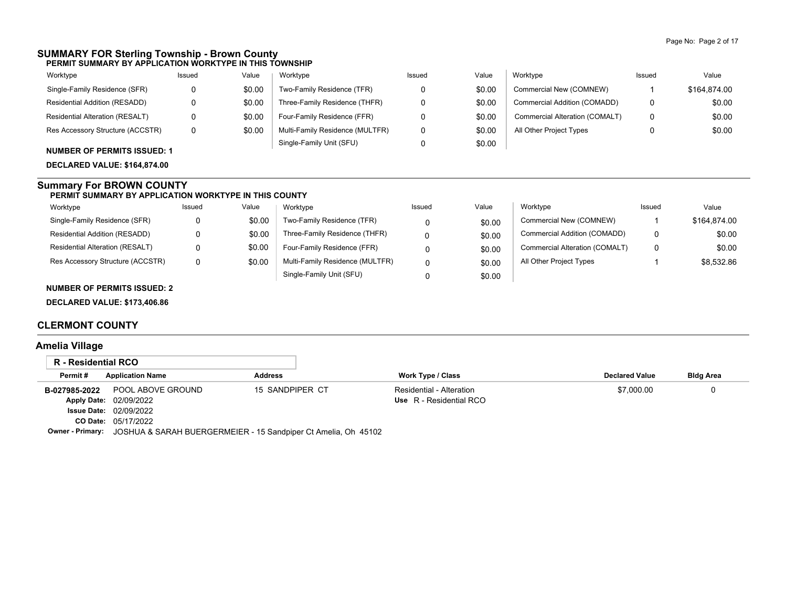#### **SUMMARY FOR Sterling Township - Brown County PERMIT SUMMARY BY APPLICATION WORKTYPE IN THIS TOWNSHIP**

| Worktype                           | Issued | Value  | Worktype                        | Issued | Value  | Worktype                       | Issued | Value        |
|------------------------------------|--------|--------|---------------------------------|--------|--------|--------------------------------|--------|--------------|
| Single-Family Residence (SFR)      |        | \$0.00 | Two-Family Residence (TFR)      |        | \$0.00 | Commercial New (COMNEW)        |        | \$164.874.00 |
| Residential Addition (RESADD)      |        | \$0.00 | Three-Family Residence (THFR)   |        | \$0.00 | Commercial Addition (COMADD)   |        | \$0.00       |
| Residential Alteration (RESALT)    |        | \$0.00 | Four-Family Residence (FFR)     |        | \$0.00 | Commercial Alteration (COMALT) |        | \$0.00       |
| Res Accessory Structure (ACCSTR)   |        | \$0.00 | Multi-Family Residence (MULTFR) |        | \$0.00 | All Other Project Types        |        | \$0.00       |
| <b>NUMBER OF PERMITS ISSUED: 1</b> |        |        | Single-Family Unit (SFU)        |        | \$0.00 |                                |        |              |

**DECLARED VALUE: \$164,874.00**

### **Summary For BROWN COUNTY**

#### **PERMIT SUMMARY BY APPLICATION WORKTYPE IN THIS COUNTY**

| Worktype                         | Issued | Value  | Worktype                        | Issued | Value  | Worktype                       | Issued | Value        |
|----------------------------------|--------|--------|---------------------------------|--------|--------|--------------------------------|--------|--------------|
| Single-Family Residence (SFR)    |        | \$0.00 | Two-Family Residence (TFR)      |        | \$0.00 | Commercial New (COMNEW)        |        | \$164,874.00 |
| Residential Addition (RESADD)    |        | \$0.00 | Three-Family Residence (THFR)   |        | \$0.00 | Commercial Addition (COMADD)   | 0      | \$0.00       |
| Residential Alteration (RESALT)  |        | \$0.00 | Four-Family Residence (FFR)     |        | \$0.00 | Commercial Alteration (COMALT) | 0      | \$0.00       |
| Res Accessory Structure (ACCSTR) |        | \$0.00 | Multi-Family Residence (MULTFR) |        | \$0.00 | All Other Project Types        |        | \$8,532.86   |
|                                  |        |        | Single-Family Unit (SFU)        |        | \$0.00 |                                |        |              |

## **NUMBER OF PERMITS ISSUED: 2**

**DECLARED VALUE: \$173,406.86**

## **CLERMONT COUNTY**

## **Amelia Village**

| R - Residential RCO |                                                                                 |                 |                          |                       |                  |
|---------------------|---------------------------------------------------------------------------------|-----------------|--------------------------|-----------------------|------------------|
| Permit#             | <b>Application Name</b>                                                         | <b>Address</b>  | Work Type / Class        | <b>Declared Value</b> | <b>Bldg Area</b> |
| B-027985-2022       | POOL ABOVE GROUND                                                               | 15 SANDPIPER CT | Residential - Alteration | \$7,000.00            |                  |
|                     | Apply Date: 02/09/2022                                                          |                 | Use R - Residential RCO  |                       |                  |
|                     | <b>Issue Date: 02/09/2022</b>                                                   |                 |                          |                       |                  |
|                     | <b>CO Date: 05/17/2022</b>                                                      |                 |                          |                       |                  |
|                     | Owner - Primary: JOSHUA & SARAH BUERGERMEIER - 15 Sandpiper Ct Amelia, Oh 45102 |                 |                          |                       |                  |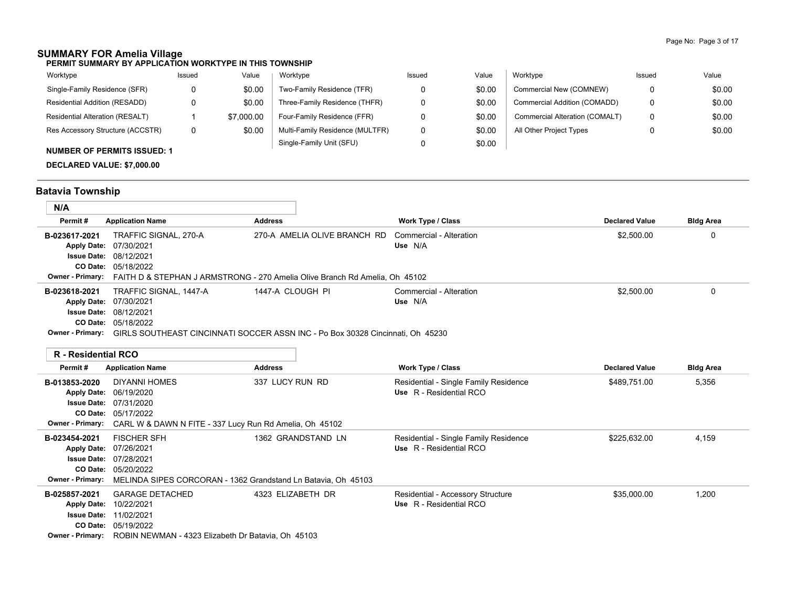## **SUMMARY FOR Amelia Village**

**PERMIT SUMMARY BY APPLICATION WORKTYPE IN THIS TOWNSHIP**

| Worktype                               | Issued | Value      | Worktype                        | Issued | Value  | Worktype                       | Issued | Value  |
|----------------------------------------|--------|------------|---------------------------------|--------|--------|--------------------------------|--------|--------|
| Single-Family Residence (SFR)          |        | \$0.00     | Two-Family Residence (TFR)      |        | \$0.00 | Commercial New (COMNEW)        |        | \$0.00 |
| Residential Addition (RESADD)          |        | \$0.00     | Three-Family Residence (THFR)   |        | \$0.00 | Commercial Addition (COMADD)   | 0      | \$0.00 |
| <b>Residential Alteration (RESALT)</b> |        | \$7,000.00 | Four-Family Residence (FFR)     |        | \$0.00 | Commercial Alteration (COMALT) | 0      | \$0.00 |
| Res Accessory Structure (ACCSTR)       | 0      | \$0.00     | Multi-Family Residence (MULTFR) |        | \$0.00 | All Other Project Types        |        | \$0.00 |
| <b>NUMBER OF PERMITS ISSUED: 1</b>     |        |            | Single-Family Unit (SFU)        |        | \$0.00 |                                |        |        |
|                                        |        |            |                                 |        |        |                                |        |        |

**DECLARED VALUE: \$7,000.00**

# **Batavia Township**

| N/A                               |                                                                                                                                                                                                                       |                              |                                    |                       |                  |
|-----------------------------------|-----------------------------------------------------------------------------------------------------------------------------------------------------------------------------------------------------------------------|------------------------------|------------------------------------|-----------------------|------------------|
| Permit#                           | <b>Application Name</b>                                                                                                                                                                                               | <b>Address</b>               | Work Type / Class                  | <b>Declared Value</b> | <b>Bldg Area</b> |
| B-023617-2021                     | TRAFFIC SIGNAL, 270-A<br>Apply Date: 07/30/2021<br><b>Issue Date: 08/12/2021</b><br><b>CO Date: 05/18/2022</b><br><b>Owner - Primary:</b> FAITH D & STEPHAN J ARMSTRONG - 270 Amelia Olive Branch Rd Amelia, Oh 45102 | 270-A AMELIA OLIVE BRANCH RD | Commercial - Alteration<br>Use N/A | \$2,500.00            | 0                |
| B-023618-2021<br>Owner - Primary: | TRAFFIC SIGNAL, 1447-A<br>Apply Date: 07/30/2021<br><b>Issue Date: 08/12/2021</b><br><b>CO Date: 05/18/2022</b><br>GIRLS SOUTHEAST CINCINNATI SOCCER ASSN INC - Po Box 30328 Cincinnati. Oh 45230                     | 1447-A CLOUGH PI             | Commercial - Alteration<br>Use N/A | \$2,500.00            | 0                |

### **R - Residential RCO**

| IN = INGGIMGI INGGUNI   |                                                                                 |                    |                                       |                       |                  |
|-------------------------|---------------------------------------------------------------------------------|--------------------|---------------------------------------|-----------------------|------------------|
| Permit#                 | <b>Application Name</b>                                                         | <b>Address</b>     | <b>Work Type / Class</b>              | <b>Declared Value</b> | <b>Bldg Area</b> |
| B-013853-2020           | <b>DIYANNI HOMES</b>                                                            | 337 LUCY RUN RD    | Residential - Single Family Residence | \$489,751.00          | 5,356            |
| <b>Apply Date:</b>      | 06/19/2020                                                                      |                    | Use R - Residential RCO               |                       |                  |
|                         | <b>Issue Date: 07/31/2020</b>                                                   |                    |                                       |                       |                  |
|                         | <b>CO Date: 05/17/2022</b>                                                      |                    |                                       |                       |                  |
|                         | <b>Owner - Primary:</b> CARL W & DAWN N FITE - 337 Lucy Run Rd Amelia, Oh 45102 |                    |                                       |                       |                  |
| B-023454-2021           | <b>FISCHER SFH</b>                                                              | 1362 GRANDSTAND LN | Residential - Single Family Residence | \$225,632.00          | 4,159            |
|                         | Apply Date: 07/26/2021                                                          |                    | Use R - Residential RCO               |                       |                  |
|                         | <b>Issue Date: 07/28/2021</b>                                                   |                    |                                       |                       |                  |
|                         | CO Date: 05/20/2022                                                             |                    |                                       |                       |                  |
| <b>Owner - Primary:</b> | MELINDA SIPES CORCORAN - 1362 Grandstand Ln Batavia, Oh 45103                   |                    |                                       |                       |                  |
| B-025857-2021           | <b>GARAGE DETACHED</b>                                                          | 4323 ELIZABETH DR  | Residential - Accessory Structure     | \$35,000.00           | 1,200            |
| <b>Apply Date:</b>      | 10/22/2021                                                                      |                    | Use R - Residential RCO               |                       |                  |
| <b>Issue Date:</b>      | 11/02/2021                                                                      |                    |                                       |                       |                  |
|                         | CO Date: 05/19/2022                                                             |                    |                                       |                       |                  |
| <b>Owner - Primary:</b> | ROBIN NEWMAN - 4323 Elizabeth Dr Batavia, Oh 45103                              |                    |                                       |                       |                  |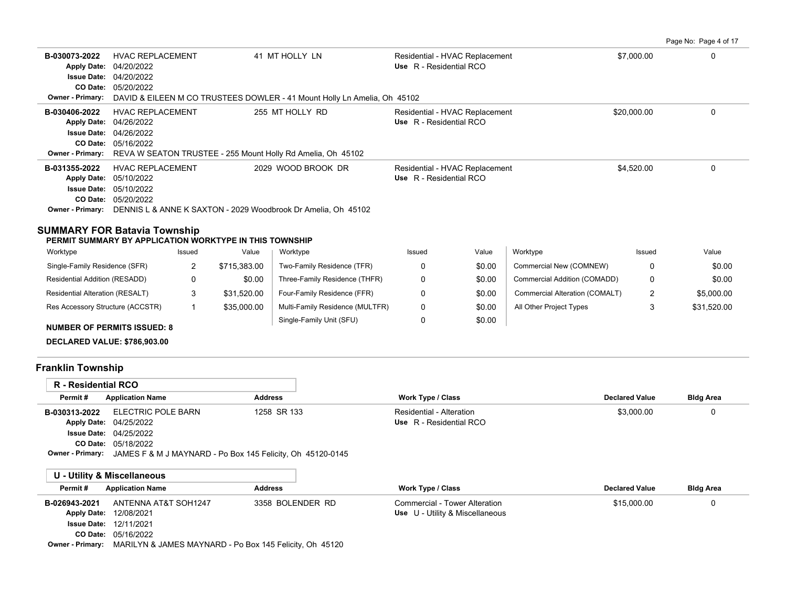Page No: Page 4 of 17

| B-030073-2022<br>CO Date:<br><b>Owner - Primary:</b> | <b>HVAC REPLACEMENT</b><br>Apply Date: 04/20/2022<br><b>Issue Date: 04/20/2022</b><br>05/20/2022                                                                                        | 41 MT HOLLY LN<br>DAVID & EILEEN M CO TRUSTEES DOWLER - 41 Mount Holly Ln Amelia, Oh 45102 | Residential - HVAC Replacement<br>Use R - Residential RCO | \$7,000.00  |  |
|------------------------------------------------------|-----------------------------------------------------------------------------------------------------------------------------------------------------------------------------------------|--------------------------------------------------------------------------------------------|-----------------------------------------------------------|-------------|--|
| B-030406-2022<br>CO Date:                            | <b>HVAC REPLACEMENT</b><br>Apply Date: 04/26/2022<br><b>Issue Date: 04/26/2022</b><br>05/16/2022<br><b>Owner - Primary:</b> REVA W SEATON TRUSTEE - 255 Mount Holly Rd Amelia, Oh 45102 | 255 MT HOLLY RD                                                                            | Residential - HVAC Replacement<br>Use R - Residential RCO | \$20,000.00 |  |
| B-031355-2022<br>Owner - Primary:                    | <b>HVAC REPLACEMENT</b><br>Apply Date: 05/10/2022<br><b>Issue Date: 05/10/2022</b><br><b>CO Date: 05/20/2022</b><br>DENNIS L & ANNE K SAXTON - 2029 Woodbrook Dr Amelia, Oh 45102       | 2029 WOOD BROOK DR                                                                         | Residential - HVAC Replacement<br>Use R - Residential RCO | \$4,520.00  |  |

## **SUMMARY FOR Batavia Township**

**PERMIT SUMMARY BY APPLICATION WORKTYPE IN THIS TOWNSHIP**

| Worktype                               | Issued | Value        | Worktype                        | Issued | Value  | Worktype                       | Issued   | Value       |
|----------------------------------------|--------|--------------|---------------------------------|--------|--------|--------------------------------|----------|-------------|
| Single-Family Residence (SFR)          |        | \$715.383.00 | Two-Family Residence (TFR)      |        | \$0.00 | Commercial New (COMNEW)        | 0        | \$0.00      |
| Residential Addition (RESADD)          | 0      | \$0.00       | Three-Family Residence (THFR)   |        | \$0.00 | Commercial Addition (COMADD)   | 0        | \$0.00      |
| <b>Residential Alteration (RESALT)</b> | J      | \$31.520.00  | Four-Family Residence (FFR)     |        | \$0.00 | Commercial Alteration (COMALT) | <u>.</u> | \$5,000.00  |
| Res Accessory Structure (ACCSTR)       |        | \$35,000.00  | Multi-Family Residence (MULTFR) |        | \$0.00 | All Other Project Types        | د.       | \$31,520.00 |
| <b>NUMBER OF PERMITS ISSUED: 8</b>     |        |              | Single-Family Unit (SFU)        |        | \$0.00 |                                |          |             |

**DECLARED VALUE: \$786,903.00**

## **Franklin Township**

| <b>R</b> - Residential RCO |                               |                                                                                    |                          |                       |                  |
|----------------------------|-------------------------------|------------------------------------------------------------------------------------|--------------------------|-----------------------|------------------|
| Permit#                    | <b>Application Name</b>       | <b>Address</b>                                                                     | <b>Work Type / Class</b> | <b>Declared Value</b> | <b>Bldg Area</b> |
| B-030313-2022              | ELECTRIC POLE BARN            | 1258 SR 133                                                                        | Residential - Alteration | \$3,000.00            | 0                |
|                            | Apply Date: 04/25/2022        |                                                                                    | Use R - Residential RCO  |                       |                  |
|                            | <b>Issue Date: 04/25/2022</b> |                                                                                    |                          |                       |                  |
|                            | <b>CO Date: 05/18/2022</b>    |                                                                                    |                          |                       |                  |
|                            |                               | <b>Owner - Primary:</b> JAMES F & M J MAYNARD - Po Box 145 Felicity, Oh 45120-0145 |                          |                       |                  |
|                            |                               |                                                                                    |                          |                       |                  |
|                            | U - Utility & Miscellaneous   |                                                                                    |                          |                       |                  |

| Permit#            | <b>Application Name</b>       | <b>Address</b>   | <b>Work Type / Class</b>        | <b>Declared Value</b> | <b>Bldg Area</b> |
|--------------------|-------------------------------|------------------|---------------------------------|-----------------------|------------------|
| B-026943-2021      | ANTENNA AT&T SOH1247          | 3358 BOLENDER RD | Commercial - Tower Alteration   | \$15,000.00           |                  |
| <b>Apply Date:</b> | 12/08/2021                    |                  | Use U - Utility & Miscellaneous |                       |                  |
|                    | <b>Issue Date: 12/11/2021</b> |                  |                                 |                       |                  |
|                    | <b>CO Date: 05/16/2022</b>    |                  |                                 |                       |                  |
|                    |                               |                  |                                 |                       |                  |

**Owner - Primary:** MARILYN & JAMES MAYNARD - Po Box 145 Felicity, Oh 45120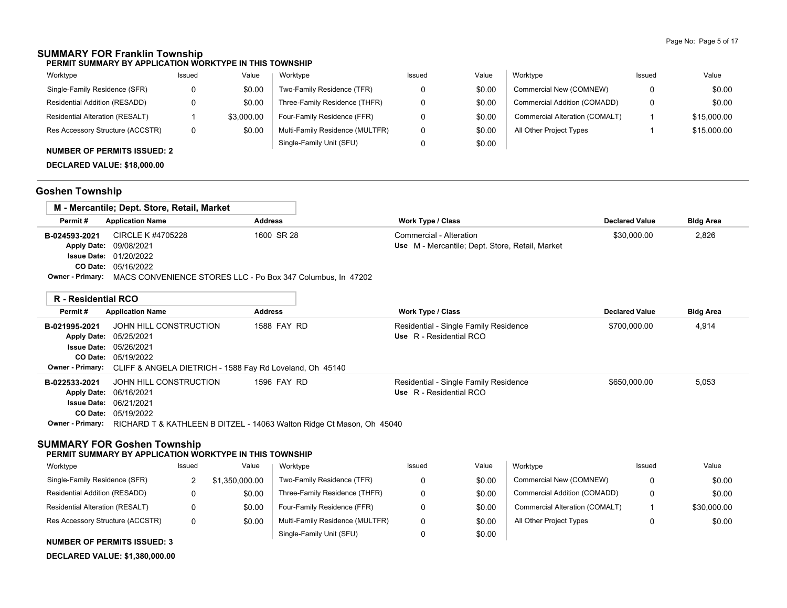## **SUMMARY FOR Franklin Township**

**PERMIT SUMMARY BY APPLICATION WORKTYPE IN THIS TOWNSHIP**

| Worktype                         | Issued | Value      | Worktype                        | Issued | Value  | Worktype                       | Issued | Value       |
|----------------------------------|--------|------------|---------------------------------|--------|--------|--------------------------------|--------|-------------|
| Single-Family Residence (SFR)    |        | \$0.00     | Two-Family Residence (TFR)      |        | \$0.00 | Commercial New (COMNEW)        | 0      | \$0.00      |
| Residential Addition (RESADD)    |        | \$0.00     | Three-Family Residence (THFR)   |        | \$0.00 | Commercial Addition (COMADD)   | 0      | \$0.00      |
| Residential Alteration (RESALT)  |        | \$3,000.00 | Four-Family Residence (FFR)     |        | \$0.00 | Commercial Alteration (COMALT) |        | \$15,000.00 |
| Res Accessory Structure (ACCSTR) | 0      | \$0.00     | Multi-Family Residence (MULTFR) |        | \$0.00 | All Other Project Types        |        | \$15,000.00 |
| $\ddot{ }$                       |        |            | Single-Family Unit (SFU)        |        | \$0.00 |                                |        |             |

## **NUMBER OF PERMITS ISSUED: 2**

**DECLARED VALUE: \$18,000.00**

## **Goshen Township**

|               | M - Mercantile: Dept. Store, Retail, Market                                         |                |                                                 |                       |                  |
|---------------|-------------------------------------------------------------------------------------|----------------|-------------------------------------------------|-----------------------|------------------|
| Permit#       | <b>Application Name</b>                                                             | <b>Address</b> | <b>Work Type / Class</b>                        | <b>Declared Value</b> | <b>Bldg Area</b> |
| B-024593-2021 | CIRCLE K #4705228                                                                   | 1600 SR 28     | Commercial - Alteration                         | \$30,000.00           | 2,826            |
|               | Apply Date: 09/08/2021                                                              |                | Use M - Mercantile; Dept. Store, Retail, Market |                       |                  |
|               | <b>Issue Date: 01/20/2022</b>                                                       |                |                                                 |                       |                  |
|               | <b>CO Date: 05/16/2022</b>                                                          |                |                                                 |                       |                  |
|               | <b>Owner - Primary:</b> MACS CONVENIENCE STORES LLC - Po Box 347 Columbus, In 47202 |                |                                                 |                       |                  |

|               | R - Residential RCO                                                                           |                |  |                                                                  |                       |                  |
|---------------|-----------------------------------------------------------------------------------------------|----------------|--|------------------------------------------------------------------|-----------------------|------------------|
| Permit#       | <b>Application Name</b>                                                                       | <b>Address</b> |  | <b>Work Type / Class</b>                                         | <b>Declared Value</b> | <b>Bldg Area</b> |
| B-021995-2021 | JOHN HILL CONSTRUCTION<br>Apply Date: 05/25/2021                                              | 1588 FAY RD    |  | Residential - Single Family Residence<br>Use R - Residential RCO | \$700,000.00          | 4,914            |
|               | <b>Issue Date: 05/26/2021</b>                                                                 |                |  |                                                                  |                       |                  |
|               | <b>CO Date: 05/19/2022</b>                                                                    |                |  |                                                                  |                       |                  |
|               | Owner - Primary: CLIFF & ANGELA DIETRICH - 1588 Fay Rd Loveland, Oh 45140                     |                |  |                                                                  |                       |                  |
| B-022533-2021 | JOHN HILL CONSTRUCTION                                                                        | 1596 FAY RD    |  | Residential - Single Family Residence                            | \$650,000.00          | 5,053            |
|               | Apply Date: 06/16/2021                                                                        |                |  | Use R - Residential RCO                                          |                       |                  |
|               | <b>Issue Date: 06/21/2021</b>                                                                 |                |  |                                                                  |                       |                  |
|               | <b>CO Date: 05/19/2022</b>                                                                    |                |  |                                                                  |                       |                  |
|               | <b>Owner - Primary:</b> RICHARD T & KATHLEEN B DITZEL - 14063 Walton Ridge Ct Mason, Oh 45040 |                |  |                                                                  |                       |                  |

## **SUMMARY FOR Goshen Township**

#### **PERMIT SUMMARY BY APPLICATION WORKTYPE IN THIS TOWNSHIP**

| Worktype                         | Issued | Value       | Worktype                        | Issued | Value  | Worktype                       | Issued   | Value       |
|----------------------------------|--------|-------------|---------------------------------|--------|--------|--------------------------------|----------|-------------|
| Single-Family Residence (SFR)    |        | .350.000.00 | Two-Family Residence (TFR)      |        | \$0.00 | Commercial New (COMNEW)        | $\Omega$ | \$0.00      |
| Residential Addition (RESADD)    |        | \$0.00      | Three-Family Residence (THFR)   |        | \$0.00 | Commercial Addition (COMADD)   | 0        | \$0.00      |
| Residential Alteration (RESALT)  |        | \$0.00      | Four-Family Residence (FFR)     |        | \$0.00 | Commercial Alteration (COMALT) |          | \$30,000.00 |
| Res Accessory Structure (ACCSTR) | 0      | \$0.00      | Multi-Family Residence (MULTFR) |        | \$0.00 | All Other Project Types        |          | \$0.00      |
|                                  |        |             | Single-Family Unit (SFU)        |        | \$0.00 |                                |          |             |

## **NUMBER OF PERMITS ISSUED: 3**

**DECLARED VALUE: \$1,380,000.00**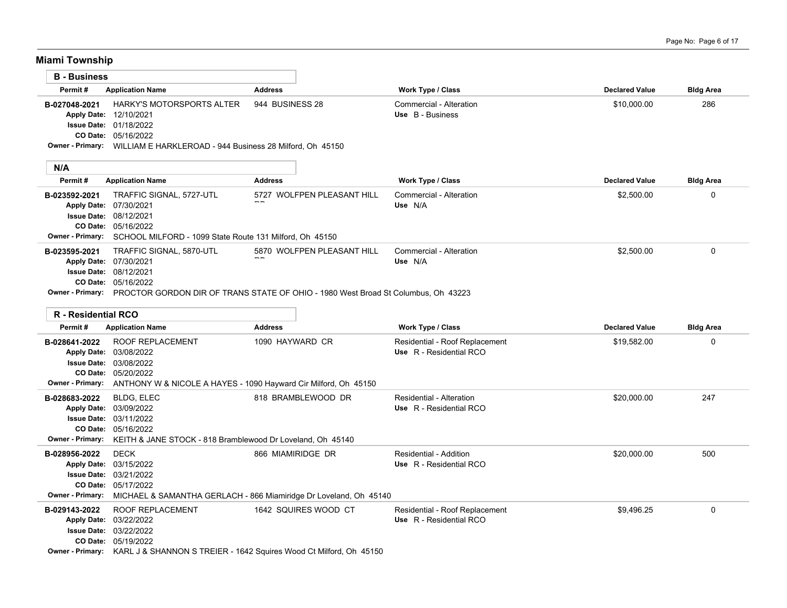**Miami Township**

| <b>B</b> - Business |                                                                           |                 |                                                                                                                 |                       |                  |
|---------------------|---------------------------------------------------------------------------|-----------------|-----------------------------------------------------------------------------------------------------------------|-----------------------|------------------|
| Permit#             | <b>Application Name</b>                                                   | <b>Address</b>  | <b>Work Type / Class</b>                                                                                        | <b>Declared Value</b> | <b>Bldg Area</b> |
| B-027048-2021       | <b>HARKY'S MOTORSPORTS ALTER</b>                                          | 944 BUSINESS 28 | Commercial - Alteration                                                                                         | \$10,000.00           | 286              |
|                     | Apply Date: 12/10/2021                                                    |                 | Use B - Business                                                                                                |                       |                  |
|                     | <b>Issue Date: 01/18/2022</b>                                             |                 |                                                                                                                 |                       |                  |
|                     | <b>CO Date: 05/16/2022</b>                                                |                 |                                                                                                                 |                       |                  |
|                     | Owner - Primary: WILLIAM E HARKLEROAD - 944 Business 28 Milford, Oh 45150 |                 |                                                                                                                 |                       |                  |
|                     |                                                                           |                 |                                                                                                                 |                       |                  |
| N/A                 |                                                                           |                 |                                                                                                                 |                       |                  |
|                     |                                                                           |                 | the contract of the contract of the contract of the contract of the contract of the contract of the contract of |                       |                  |

| Permit#       | <b>Application Name</b>                                                                             | <b>Address</b>             | <b>Work Type / Class</b> | <b>Declared Value</b> | <b>Bldg Area</b> |
|---------------|-----------------------------------------------------------------------------------------------------|----------------------------|--------------------------|-----------------------|------------------|
| B-023592-2021 | TRAFFIC SIGNAL, 5727-UTL                                                                            | 5727 WOLFPEN PLEASANT HILL | Commercial - Alteration  | \$2,500.00            | 0                |
|               | Apply Date: 07/30/2021                                                                              |                            | Use N/A                  |                       |                  |
|               | <b>Issue Date: 08/12/2021</b>                                                                       |                            |                          |                       |                  |
|               | <b>CO Date: 05/16/2022</b>                                                                          |                            |                          |                       |                  |
|               | <b>Owner - Primary:</b> SCHOOL MILFORD - 1099 State Route 131 Milford. Oh 45150                     |                            |                          |                       |                  |
| B-023595-2021 | TRAFFIC SIGNAL, 5870-UTL                                                                            | 5870 WOLFPEN PLEASANT HILL | Commercial - Alteration  | \$2,500.00            | 0                |
|               | Apply Date: 07/30/2021                                                                              | $- -$                      | Use N/A                  |                       |                  |
|               | <b>Issue Date: 08/12/2021</b>                                                                       |                            |                          |                       |                  |
|               | CO Date: 05/16/2022                                                                                 |                            |                          |                       |                  |
|               | Ourse Brimary - DDOCTOD CODDON DID OF TDANC CTATE OF OUIO - 4000 West Dread Of Calumbus - Ok. 49999 |                            |                          |                       |                  |

**Owner - Primary:** PROCTOR GORDON DIR OF TRANS STATE OF OHIO - 1980 West Broad St Columbus, Oh 43223

| <b>R</b> - Residential RCO |                                                                 |                                                                    |                                |                       |                  |
|----------------------------|-----------------------------------------------------------------|--------------------------------------------------------------------|--------------------------------|-----------------------|------------------|
| Permit#                    | <b>Application Name</b>                                         | <b>Address</b>                                                     | <b>Work Type / Class</b>       | <b>Declared Value</b> | <b>Bldg Area</b> |
| B-028641-2022              | <b>ROOF REPLACEMENT</b>                                         | 1090 HAYWARD CR                                                    | Residential - Roof Replacement | \$19,582.00           | $\Omega$         |
| <b>Apply Date:</b>         | 03/08/2022                                                      |                                                                    | Use R - Residential RCO        |                       |                  |
| <b>Issue Date:</b>         | 03/08/2022                                                      |                                                                    |                                |                       |                  |
| CO Date:                   | 05/20/2022                                                      |                                                                    |                                |                       |                  |
| Owner - Primary:           | ANTHONY W & NICOLE A HAYES - 1090 Hayward Cir Milford, Oh 45150 |                                                                    |                                |                       |                  |
| B-028683-2022              | BLDG, ELEC                                                      | 818 BRAMBLEWOOD DR                                                 | Residential - Alteration       | \$20,000.00           | 247              |
| <b>Apply Date:</b>         | 03/09/2022                                                      |                                                                    | Use R - Residential RCO        |                       |                  |
|                            | <b>Issue Date: 03/11/2022</b>                                   |                                                                    |                                |                       |                  |
| CO Date:                   | 05/16/2022                                                      |                                                                    |                                |                       |                  |
| <b>Owner - Primary:</b>    | KEITH & JANE STOCK - 818 Bramblewood Dr Loveland, Oh 45140      |                                                                    |                                |                       |                  |
| B-028956-2022              | <b>DECK</b>                                                     | 866 MIAMIRIDGE DR                                                  | Residential - Addition         | \$20,000.00           | 500              |
|                            | Apply Date: 03/15/2022                                          |                                                                    | Use R - Residential RCO        |                       |                  |
| <b>Issue Date:</b>         | 03/21/2022                                                      |                                                                    |                                |                       |                  |
|                            | CO Date: 05/17/2022                                             |                                                                    |                                |                       |                  |
| <b>Owner - Primary:</b>    |                                                                 | MICHAEL & SAMANTHA GERLACH - 866 Miamiridge Dr Loveland, Oh 45140  |                                |                       |                  |
| B-029143-2022              | <b>ROOF REPLACEMENT</b>                                         | 1642 SQUIRES WOOD CT                                               | Residential - Roof Replacement | \$9,496.25            | 0                |
|                            | Apply Date: 03/22/2022                                          |                                                                    | Use R - Residential RCO        |                       |                  |
|                            | <b>Issue Date: 03/22/2022</b>                                   |                                                                    |                                |                       |                  |
|                            | CO Date: 05/19/2022                                             |                                                                    |                                |                       |                  |
| <b>Owner - Primary:</b>    |                                                                 | KARL J & SHANNON S TREIER - 1642 Squires Wood Ct Milford, Oh 45150 |                                |                       |                  |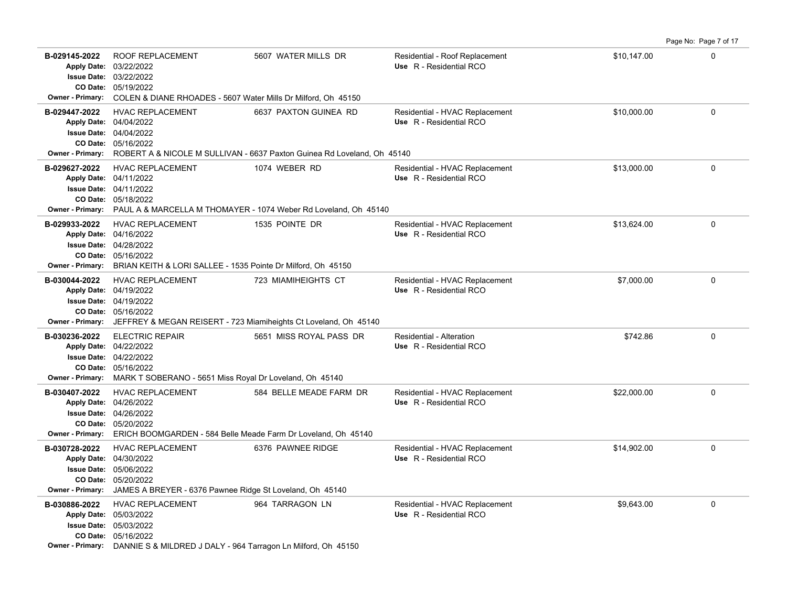|                                          |                                                                                                                                                                                                    |                                                                                                  |                                                           |             | Page No: Page 7 of 17 |
|------------------------------------------|----------------------------------------------------------------------------------------------------------------------------------------------------------------------------------------------------|--------------------------------------------------------------------------------------------------|-----------------------------------------------------------|-------------|-----------------------|
| B-029145-2022<br><b>Owner - Primary:</b> | ROOF REPLACEMENT<br>Apply Date: 03/22/2022<br><b>Issue Date: 03/22/2022</b><br>CO Date: 05/19/2022<br>COLEN & DIANE RHOADES - 5607 Water Mills Dr Milford, Oh 45150                                | 5607 WATER MILLS DR                                                                              | Residential - Roof Replacement<br>Use R - Residential RCO | \$10,147.00 | $\mathbf 0$           |
| B-029447-2022<br><b>Owner - Primary:</b> | <b>HVAC REPLACEMENT</b><br>Apply Date: 04/04/2022<br><b>Issue Date: 04/04/2022</b><br>CO Date: 05/16/2022                                                                                          | 6637 PAXTON GUINEA RD<br>ROBERT A & NICOLE M SULLIVAN - 6637 Paxton Guinea Rd Loveland, Oh 45140 | Residential - HVAC Replacement<br>Use R - Residential RCO | \$10,000.00 | 0                     |
| B-029627-2022                            | <b>HVAC REPLACEMENT</b><br>Apply Date: 04/11/2022<br><b>Issue Date: 04/11/2022</b><br>CO Date: 05/18/2022<br>Owner - Primary: PAUL A & MARCELLA M THOMAYER - 1074 Weber Rd Loveland, Oh 45140      | 1074 WEBER RD                                                                                    | Residential - HVAC Replacement<br>Use R - Residential RCO | \$13,000.00 | 0                     |
| B-029933-2022<br><b>Owner - Primary:</b> | <b>HVAC REPLACEMENT</b><br>Apply Date: 04/16/2022<br><b>Issue Date: 04/28/2022</b><br>CO Date: 05/16/2022<br>BRIAN KEITH & LORI SALLEE - 1535 Pointe Dr Milford, Oh 45150                          | 1535 POINTE DR                                                                                   | Residential - HVAC Replacement<br>Use R - Residential RCO | \$13,624.00 | 0                     |
| B-030044-2022<br><b>Owner - Primary:</b> | <b>HVAC REPLACEMENT</b><br>Apply Date: 04/19/2022<br><b>Issue Date: 04/19/2022</b><br>CO Date: 05/16/2022<br>JEFFREY & MEGAN REISERT - 723 Miamiheights Ct Loveland, Oh 45140                      | 723 MIAMIHEIGHTS CT                                                                              | Residential - HVAC Replacement<br>Use R - Residential RCO | \$7,000.00  | $\Omega$              |
| B-030236-2022<br><b>Owner - Primary:</b> | <b>ELECTRIC REPAIR</b><br>Apply Date: 04/22/2022<br><b>Issue Date: 04/22/2022</b><br>CO Date: 05/16/2022<br>MARK T SOBERANO - 5651 Miss Royal Dr Loveland, Oh 45140                                | 5651 MISS ROYAL PASS DR                                                                          | Residential - Alteration<br>Use R - Residential RCO       | \$742.86    | 0                     |
| B-030407-2022                            | <b>HVAC REPLACEMENT</b><br>Apply Date: 04/26/2022<br><b>Issue Date: 04/26/2022</b><br>CO Date: 05/20/2022<br><b>Owner - Primary:</b> ERICH BOOMGARDEN - 584 Belle Meade Farm Dr Loveland, Oh 45140 | 584 BELLE MEADE FARM DR                                                                          | Residential - HVAC Replacement<br>Use R - Residential RCO | \$22,000.00 | $\Omega$              |
| B-030728-2022<br><b>Owner - Primary:</b> | <b>HVAC REPLACEMENT</b><br>Apply Date: 04/30/2022<br><b>Issue Date: 05/06/2022</b><br>CO Date: 05/20/2022<br>JAMES A BREYER - 6376 Pawnee Ridge St Loveland, Oh 45140                              | 6376 PAWNEE RIDGE                                                                                | Residential - HVAC Replacement<br>Use R - Residential RCO | \$14,902.00 | 0                     |
| B-030886-2022                            | <b>HVAC REPLACEMENT</b><br>Apply Date: 05/03/2022<br><b>Issue Date: 05/03/2022</b><br>CO Date: 05/16/2022<br>Owner - Primary: DANNIE S & MILDRED J DALY - 964 Tarragon Ln Milford, Oh 45150        | 964 TARRAGON LN                                                                                  | Residential - HVAC Replacement<br>Use R - Residential RCO | \$9,643.00  | $\Omega$              |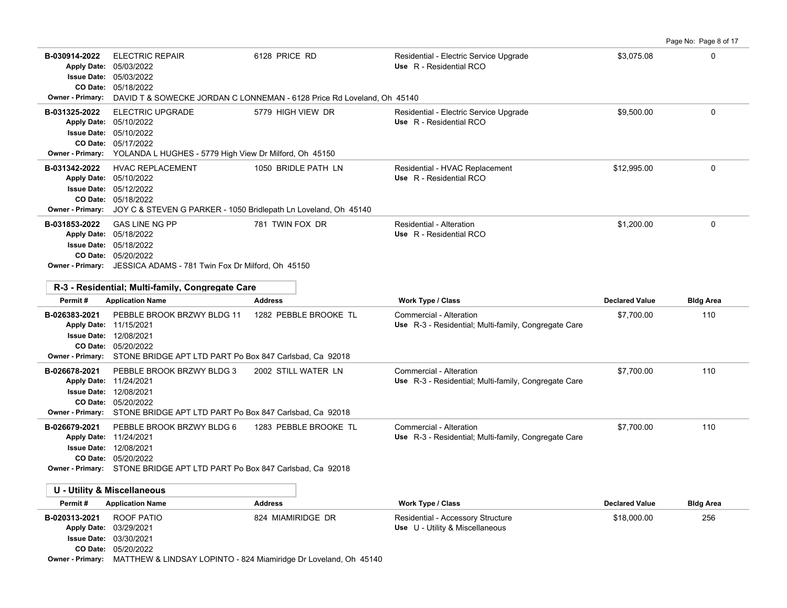|                                                                                                                 |                                                                                                                                                     |                                                                                         |                                                                                 |                       | Page No: Page 8 of 17 |
|-----------------------------------------------------------------------------------------------------------------|-----------------------------------------------------------------------------------------------------------------------------------------------------|-----------------------------------------------------------------------------------------|---------------------------------------------------------------------------------|-----------------------|-----------------------|
| B-030914-2022<br>Apply Date: 05/03/2022<br><b>Issue Date: 05/03/2022</b><br><b>Owner - Primary:</b>             | <b>ELECTRIC REPAIR</b><br>CO Date: 05/18/2022                                                                                                       | 6128 PRICE RD<br>DAVID T & SOWECKE JORDAN C LONNEMAN - 6128 Price Rd Loveland, Oh 45140 | Residential - Electric Service Upgrade<br>Use R - Residential RCO               | \$3,075.08            | 0                     |
| B-031325-2022<br>Apply Date: 05/10/2022<br><b>Issue Date: 05/10/2022</b><br><b>Owner - Primary:</b>             | <b>ELECTRIC UPGRADE</b><br>CO Date: 05/17/2022<br>YOLANDA L HUGHES - 5779 High View Dr Milford, Oh 45150                                            | 5779 HIGH VIEW DR                                                                       | Residential - Electric Service Upgrade<br>Use R - Residential RCO               | \$9,500.00            | $\mathbf 0$           |
| B-031342-2022<br>Apply Date: 05/10/2022<br><b>Issue Date: 05/12/2022</b><br><b>Owner - Primary:</b>             | <b>HVAC REPLACEMENT</b><br>CO Date: 05/18/2022<br>JOY C & STEVEN G PARKER - 1050 Bridlepath Ln Loveland, Oh 45140                                   | 1050 BRIDLE PATH LN                                                                     | Residential - HVAC Replacement<br>Use R - Residential RCO                       | \$12,995.00           | 0                     |
| B-031853-2022<br>Apply Date: 05/18/2022                                                                         | <b>GAS LINE NG PP</b><br><b>Issue Date: 05/18/2022</b><br>CO Date: 05/20/2022<br>Owner - Primary: JESSICA ADAMS - 781 Twin Fox Dr Milford, Oh 45150 | 781 TWIN FOX DR                                                                         | <b>Residential - Alteration</b><br>Use R - Residential RCO                      | \$1,200.00            | $\mathbf 0$           |
| Permit#                                                                                                         | R-3 - Residential; Multi-family, Congregate Care<br><b>Application Name</b>                                                                         | <b>Address</b>                                                                          | <b>Work Type / Class</b>                                                        | <b>Declared Value</b> | <b>Bldg Area</b>      |
| B-026383-2021<br>Apply Date: 11/15/2021<br><b>Issue Date: 12/08/2021</b><br><b>Owner - Primary:</b>             | PEBBLE BROOK BRZWY BLDG 11<br>CO Date: 05/20/2022<br>STONE BRIDGE APT LTD PART Po Box 847 Carlsbad, Ca 92018                                        | 1282 PEBBLE BROOKE TL                                                                   | Commercial - Alteration<br>Use R-3 - Residential; Multi-family, Congregate Care | \$7.700.00            | 110                   |
| B-026678-2021<br>Apply Date: 11/24/2021<br><b>Issue Date: 12/08/2021</b><br><b>Owner - Primary:</b>             | PEBBLE BROOK BRZWY BLDG 3<br>CO Date: 05/20/2022<br>STONE BRIDGE APT LTD PART Po Box 847 Carlsbad, Ca 92018                                         | 2002 STILL WATER LN                                                                     | Commercial - Alteration<br>Use R-3 - Residential; Multi-family, Congregate Care | \$7,700.00            | 110                   |
| B-026679-2021<br>Apply Date: 11/24/2021<br><b>Issue Date: 12/08/2021</b>                                        | PEBBLE BROOK BRZWY BLDG 6<br>CO Date: 05/20/2022<br>Owner - Primary: STONE BRIDGE APT LTD PART Po Box 847 Carlsbad. Ca 92018                        | 1283 PEBBLE BROOKE TL                                                                   | Commercial - Alteration<br>Use R-3 - Residential; Multi-family, Congregate Care | \$7,700.00            | 110                   |
| <b>U - Utility &amp; Miscellaneous</b>                                                                          |                                                                                                                                                     |                                                                                         |                                                                                 |                       |                       |
| Permit#                                                                                                         | <b>Application Name</b>                                                                                                                             | <b>Address</b>                                                                          | <b>Work Type / Class</b>                                                        | <b>Declared Value</b> | <b>Bldg Area</b>      |
| B-020313-2021<br>Apply Date: 03/29/2021<br><b>Issue Date: 03/30/2021</b><br>CO Date:<br><b>Owner - Primary:</b> | ROOF PATIO<br>05/20/2022<br>MATTHEW & LINDSAY LOPINTO - 824 Miamiridge Dr Loveland, Oh 45140                                                        | 824 MIAMIRIDGE DR                                                                       | Residential - Accessory Structure<br>Use U - Utility & Miscellaneous            | \$18,000.00           | 256                   |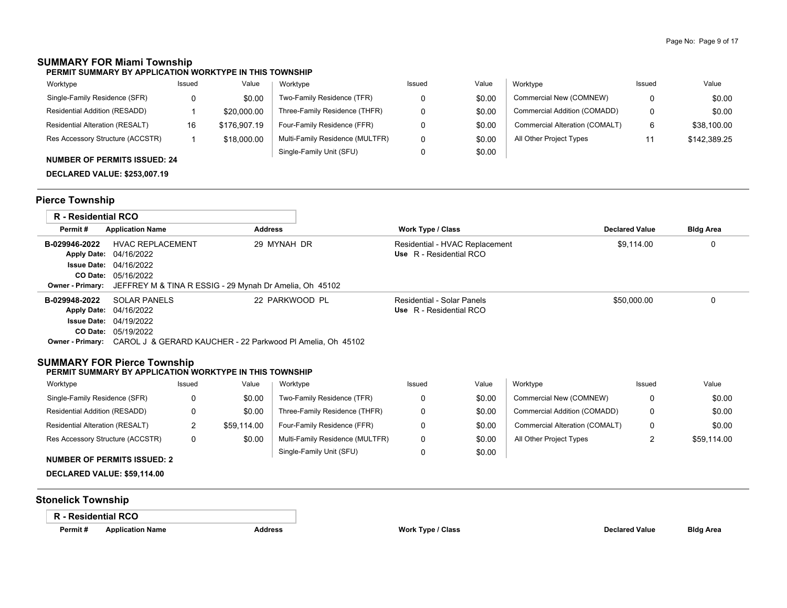# **SUMMARY FOR Miami Township**

| Worktype                         | Issued | Value        | Worktype                        | Issued | Value  | Worktvpe                       | Issued | Value        |
|----------------------------------|--------|--------------|---------------------------------|--------|--------|--------------------------------|--------|--------------|
| Single-Family Residence (SFR)    | 0      | \$0.00       | Two-Family Residence (TFR)      |        | \$0.00 | Commercial New (COMNEW)        |        | \$0.00       |
| Residential Addition (RESADD)    |        | \$20,000.00  | Three-Family Residence (THFR)   |        | \$0.00 | Commercial Addition (COMADD)   |        | \$0.00       |
| Residential Alteration (RESALT)  | 16     | \$176,907.19 | Four-Family Residence (FFR)     |        | \$0.00 | Commercial Alteration (COMALT) | 6      | \$38,100.00  |
| Res Accessory Structure (ACCSTR) |        | \$18,000.00  | Multi-Family Residence (MULTFR) |        | \$0.00 | All Other Project Types        |        | \$142,389.25 |
| NUMBER OF PERMITS ISSUED: 24     |        |              | Single-Family Unit (SFU)        |        | \$0.00 |                                |        |              |

**DECLARED VALUE: \$253,007.19**

## **Pierce Township**

| R - Residential RCO |                                                                                    |                |                                |                       |                  |
|---------------------|------------------------------------------------------------------------------------|----------------|--------------------------------|-----------------------|------------------|
| Permit#             | <b>Application Name</b>                                                            | <b>Address</b> | <b>Work Type / Class</b>       | <b>Declared Value</b> | <b>Bldg Area</b> |
| B-029946-2022       | <b>HVAC REPLACEMENT</b>                                                            | 29 MYNAH DR    | Residential - HVAC Replacement | \$9.114.00            | 0                |
|                     | Apply Date: 04/16/2022                                                             |                | Use R - Residential RCO        |                       |                  |
|                     | <b>Issue Date: 04/16/2022</b>                                                      |                |                                |                       |                  |
|                     | <b>CO Date: 05/16/2022</b>                                                         |                |                                |                       |                  |
|                     | <b>Owner - Primary:</b> JEFFREY M & TINA R ESSIG - 29 Mynah Dr Amelia, Oh 45102    |                |                                |                       |                  |
| B-029948-2022       | SOLAR PANELS                                                                       | 22 PARKWOOD PL | Residential - Solar Panels     | \$50,000.00           | 0                |
|                     | <b>Apply Date: 04/16/2022</b>                                                      |                | Use R - Residential RCO        |                       |                  |
|                     | <b>Issue Date: 04/19/2022</b>                                                      |                |                                |                       |                  |
|                     | <b>CO Date: 05/19/2022</b>                                                         |                |                                |                       |                  |
|                     | <b>Owner - Primary:</b> CAROL J & GERARD KAUCHER - 22 Parkwood PI Amelia, Oh 45102 |                |                                |                       |                  |

## **SUMMARY FOR Pierce Township**

#### **PERMIT SUMMARY BY APPLICATION WORKTYPE IN THIS TOWNSHIP**

| Worktype                         | Issued | Value       | Worktype                        | Issued | Value  | Worktype                       | Issued | Value       |
|----------------------------------|--------|-------------|---------------------------------|--------|--------|--------------------------------|--------|-------------|
| Single-Family Residence (SFR)    |        | \$0.00      | Two-Family Residence (TFR)      |        | \$0.00 | Commercial New (COMNEW)        |        | \$0.00      |
| Residential Addition (RESADD)    |        | \$0.00      | Three-Family Residence (THFR)   |        | \$0.00 | Commercial Addition (COMADD)   |        | \$0.00      |
| Residential Alteration (RESALT)  |        | \$59.114.00 | Four-Family Residence (FFR)     |        | \$0.00 | Commercial Alteration (COMALT) | 0      | \$0.00      |
| Res Accessory Structure (ACCSTR) |        | \$0.00      | Multi-Family Residence (MULTFR) |        | \$0.00 | All Other Project Types        |        | \$59.114.00 |
|                                  |        |             | Single-Family Unit (SFU)        |        | \$0.00 |                                |        |             |

## **NUMBER OF PERMITS ISSUED: 2**

**DECLARED VALUE: \$59,114.00**

## **Stonelick Township**

#### **R - Residential RCO**

**Permit # Application Name Address Work Type / Class Declared Value Bldg Area**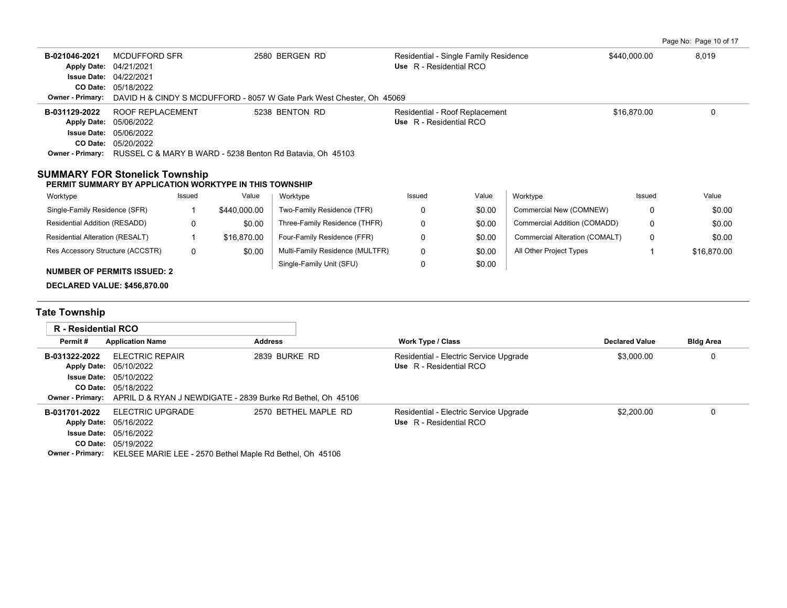|  | Page No: Page 10 of 17 |  |  |
|--|------------------------|--|--|
|  |                        |  |  |

| B-021046-2021<br><b>Apply Date:</b><br><b>Owner - Primary:</b>                                   | <b>MCDUFFORD SFR</b><br>2580 BERGEN RD<br>04/21/2021<br>Issue Date: 04/22/2021<br>CO Date: 05/18/2022<br>DAVID H & CINDY S MCDUFFORD - 8057 W Gate Park West Chester, Oh 45069 |              | Residential - Single Family Residence<br>Use R - Residential RCO  |                                 |                                                                   | \$440.000.00 |                                | 8,019                 |              |                  |
|--------------------------------------------------------------------------------------------------|--------------------------------------------------------------------------------------------------------------------------------------------------------------------------------|--------------|-------------------------------------------------------------------|---------------------------------|-------------------------------------------------------------------|--------------|--------------------------------|-----------------------|--------------|------------------|
| B-031129-2022<br><b>Apply Date:</b><br><b>Owner - Primary:</b>                                   | ROOF REPLACEMENT<br>5238 BENTON RD<br>05/06/2022<br><b>Issue Date: 05/06/2022</b><br>CO Date: 05/20/2022<br>RUSSEL C & MARY B WARD - 5238 Benton Rd Batavia, Oh 45103          |              | Residential - Roof Replacement<br>Use R - Residential RCO         |                                 |                                                                   | \$16,870.00  |                                | $\Omega$              |              |                  |
| <b>SUMMARY FOR Stonelick Township</b><br>PERMIT SUMMARY BY APPLICATION WORKTYPE IN THIS TOWNSHIP |                                                                                                                                                                                |              |                                                                   |                                 |                                                                   |              |                                |                       |              |                  |
| Worktype                                                                                         |                                                                                                                                                                                | Issued       | Value                                                             | Worktype                        | Issued                                                            | Value        | Worktype                       |                       | Issued       | Value            |
| Single-Family Residence (SFR)                                                                    |                                                                                                                                                                                | $\mathbf 1$  | \$440,000.00                                                      | Two-Family Residence (TFR)      | 0                                                                 | \$0.00       | Commercial New (COMNEW)        |                       | 0            | \$0.00           |
| Residential Addition (RESADD)                                                                    |                                                                                                                                                                                | 0            | \$0.00                                                            | Three-Family Residence (THFR)   | 0                                                                 | \$0.00       | Commercial Addition (COMADD)   |                       | $\mathbf{0}$ | \$0.00           |
| Residential Alteration (RESALT)                                                                  |                                                                                                                                                                                | $\mathbf{1}$ | \$16.870.00                                                       | Four-Family Residence (FFR)     | 0                                                                 | \$0.00       | Commercial Alteration (COMALT) |                       | $\mathbf{0}$ | \$0.00           |
| Res Accessory Structure (ACCSTR)                                                                 |                                                                                                                                                                                | 0            | \$0.00                                                            | Multi-Family Residence (MULTFR) | 0                                                                 | \$0.00       | All Other Project Types        |                       | 1            | \$16,870.00      |
| <b>NUMBER OF PERMITS ISSUED: 2</b><br>DECLARED VALUE: \$456,870.00                               |                                                                                                                                                                                |              |                                                                   | Single-Family Unit (SFU)        | 0                                                                 | \$0.00       |                                |                       |              |                  |
| <b>Tate Township</b>                                                                             |                                                                                                                                                                                |              |                                                                   |                                 |                                                                   |              |                                |                       |              |                  |
| R - Residential RCO                                                                              |                                                                                                                                                                                |              |                                                                   |                                 |                                                                   |              |                                |                       |              |                  |
| Permit#                                                                                          | <b>Application Name</b>                                                                                                                                                        |              | <b>Address</b>                                                    |                                 | Work Type / Class                                                 |              |                                | <b>Declared Value</b> |              | <b>Bldg Area</b> |
| B-031322-2022<br><b>Apply Date:</b><br><b>Issue Date:</b><br>CO Date:<br><b>Owner - Primary:</b> | 2839 BURKE RD<br><b>ELECTRIC REPAIR</b><br>05/10/2022<br>05/10/2022<br>05/18/2022<br>APRIL D & RYAN J NEWDIGATE - 2839 Burke Rd Bethel, Oh 45106                               |              | Residential - Electric Service Upgrade<br>Use R - Residential RCO |                                 |                                                                   | \$3,000.00   |                                | 0                     |              |                  |
| B-031701-2022<br><b>Apply Date:</b><br><b>Issue Date:</b>                                        | <b>ELECTRIC UPGRADE</b><br>05/16/2022<br>05/16/2022<br>CO Date: 05/19/2022                                                                                                     |              |                                                                   | 2570 BETHEL MAPLE RD            | Residential - Electric Service Upgrade<br>Use R - Residential RCO |              |                                | \$2,200.00            |              | 0                |

**Owner - Primary:** KELSEE MARIE LEE - 2570 Bethel Maple Rd Bethel, Oh 45106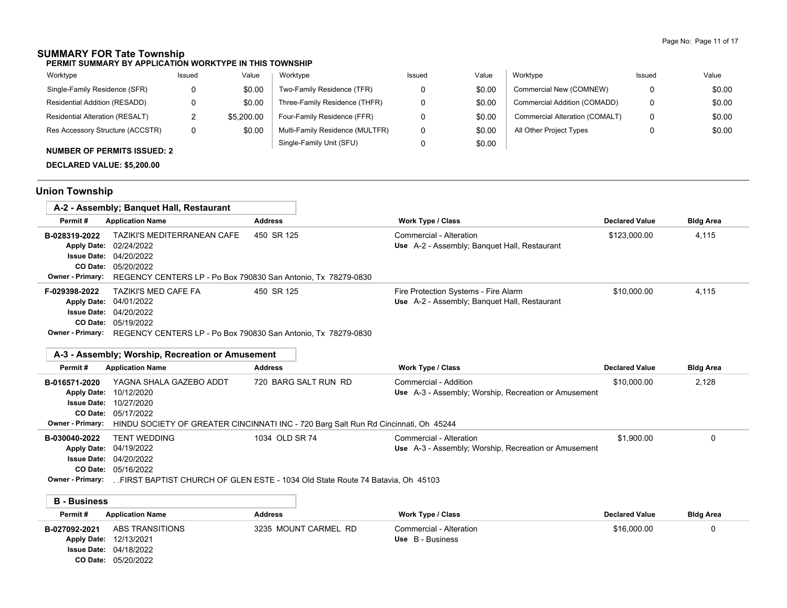# **SUMMARY FOR Tate Township**

**PERMIT SUMMARY BY APPLICATION WORKTYPE IN THIS TOWNSHIP**

| Worktype<br>Value<br>Issued                          |                                 | Issued | Value  | Worktype                       | Issued | Value  |
|------------------------------------------------------|---------------------------------|--------|--------|--------------------------------|--------|--------|
| Single-Family Residence (SFR)<br>\$0.00              | Two-Family Residence (TFR)      |        | \$0.00 | Commercial New (COMNEW)        |        | \$0.00 |
| Residential Addition (RESADD)<br>\$0.00              | Three-Family Residence (THFR)   |        | \$0.00 | Commercial Addition (COMADD)   | 0      | \$0.00 |
| <b>Residential Alteration (RESALT)</b><br>\$5,200.00 | Four-Family Residence (FFR)     |        | \$0.00 | Commercial Alteration (COMALT) | 0      | \$0.00 |
| Res Accessory Structure (ACCSTR)<br>\$0.00           | Multi-Family Residence (MULTFR) |        | \$0.00 | All Other Project Types        |        | \$0.00 |
| <b>NUMBER OF PERMITS ISSUED: 2</b>                   | Single-Family Unit (SFU)        |        | \$0.00 |                                |        |        |

## **DECLARED VALUE: \$5,200.00**

05/20/2022 **CO Date:**04/18/2022 **Issue Date:**

# **Union Township**

|                                            | A-2 - Assembly; Banguet Hall, Restaurant                                                                          |                |                                                                                      |                       |                  |
|--------------------------------------------|-------------------------------------------------------------------------------------------------------------------|----------------|--------------------------------------------------------------------------------------|-----------------------|------------------|
| Permit#                                    | <b>Application Name</b>                                                                                           | <b>Address</b> | <b>Work Type / Class</b>                                                             | <b>Declared Value</b> | <b>Bldg Area</b> |
| B-028319-2022<br><b>Issue Date:</b>        | TAZIKI'S MEDITERRANEAN CAFE<br><b>Apply Date: 02/24/2022</b><br>04/20/2022                                        | 450 SR 125     | Commercial - Alteration<br>Use A-2 - Assembly; Banquet Hall, Restaurant              | \$123,000.00          | 4,115            |
| <b>CO Date:</b><br><b>Owner - Primary:</b> | 05/20/2022<br>REGENCY CENTERS LP - Po Box 790830 San Antonio, Tx 78279-0830                                       |                |                                                                                      |                       |                  |
| F-029398-2022                              | TAZIKI'S MED CAFE FA<br>Apply Date: 04/01/2022<br><b>Issue Date: 04/20/2022</b><br>CO Date: 05/19/2022            | 450 SR 125     | Fire Protection Systems - Fire Alarm<br>Use A-2 - Assembly; Banquet Hall, Restaurant | \$10,000.00           | 4,115            |
| <b>Owner - Primary:</b>                    | REGENCY CENTERS LP - Po Box 790830 San Antonio, Tx 78279-0830<br>A-3 - Assembly; Worship, Recreation or Amusement |                |                                                                                      |                       |                  |

| Permit#             | <b>Application Name</b>                                                                               | <b>Address</b>       | <b>Work Type / Class</b>                             | <b>Declared Value</b> | <b>Bldg Area</b> |  |  |  |  |  |
|---------------------|-------------------------------------------------------------------------------------------------------|----------------------|------------------------------------------------------|-----------------------|------------------|--|--|--|--|--|
| B-016571-2020       | YAGNA SHALA GAZEBO ADDT                                                                               | 720 BARG SALT RUN RD | Commercial - Addition                                | \$10,000.00           | 2.128            |  |  |  |  |  |
| <b>Apply Date:</b>  | 10/12/2020                                                                                            |                      | Use A-3 - Assembly: Worship, Recreation or Amusement |                       |                  |  |  |  |  |  |
| <b>Issue Date:</b>  | 10/27/2020                                                                                            |                      |                                                      |                       |                  |  |  |  |  |  |
|                     | <b>CO Date: 05/17/2022</b>                                                                            |                      |                                                      |                       |                  |  |  |  |  |  |
| Owner - Primary:    | HINDU SOCIETY OF GREATER CINCINNATI INC - 720 Barg Salt Run Rd Cincinnati, Oh 45244                   |                      |                                                      |                       |                  |  |  |  |  |  |
| B-030040-2022       | <b>TENT WEDDING</b>                                                                                   | 1034 OLD SR 74       | Commercial - Alteration                              | \$1,900.00            |                  |  |  |  |  |  |
|                     | Apply Date: 04/19/2022                                                                                |                      | Use A-3 - Assembly; Worship, Recreation or Amusement |                       |                  |  |  |  |  |  |
|                     | <b>Issue Date: 04/20/2022</b>                                                                         |                      |                                                      |                       |                  |  |  |  |  |  |
|                     | <b>CO Date: 05/16/2022</b>                                                                            |                      |                                                      |                       |                  |  |  |  |  |  |
|                     | <b>Owner - Primary:</b> FIRST BAPTIST CHURCH OF GLEN ESTE - 1034 Old State Route 74 Batavia. Oh 45103 |                      |                                                      |                       |                  |  |  |  |  |  |
|                     |                                                                                                       |                      |                                                      |                       |                  |  |  |  |  |  |
| <b>B</b> - Business |                                                                                                       |                      |                                                      |                       |                  |  |  |  |  |  |
| Permit#             | <b>Application Name</b>                                                                               | <b>Address</b>       | <b>Work Type / Class</b>                             | <b>Declared Value</b> | <b>Bldg Area</b> |  |  |  |  |  |

**B-027092-2021** \$16,000.00 0

12/13/2021 **Apply Date: Use** B - Business

3235 MOUNT CARMEL RD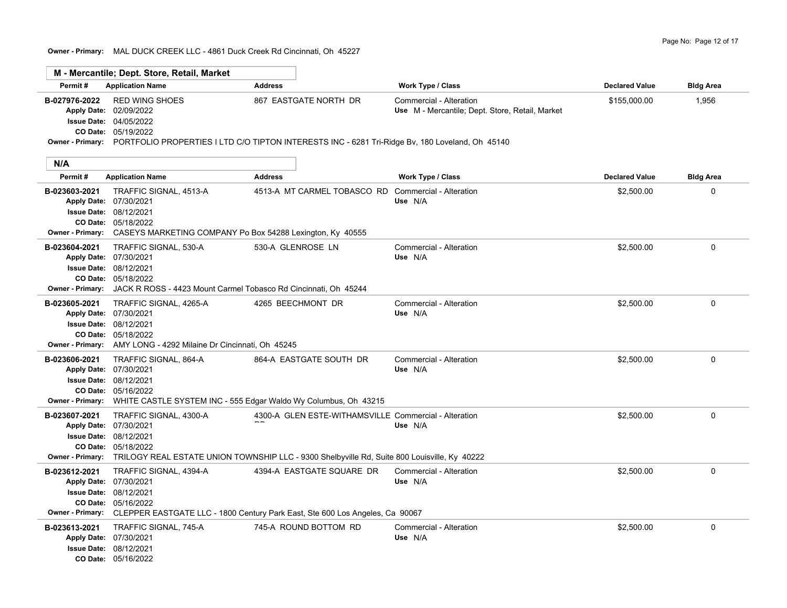**Owner - Primary:** MAL DUCK CREEK LLC - 4861 Duck Creek Rd Cincinnati, Oh 45227

|               | M - Mercantile; Dept. Store, Retail, Market                                                                      |                       |                                                 |                       |                  |
|---------------|------------------------------------------------------------------------------------------------------------------|-----------------------|-------------------------------------------------|-----------------------|------------------|
| Permit#       | <b>Application Name</b>                                                                                          | <b>Address</b>        | <b>Work Type / Class</b>                        | <b>Declared Value</b> | <b>Bldg Area</b> |
| B-027976-2022 | RED WING SHOES                                                                                                   | 867 EASTGATE NORTH DR | Commercial - Alteration                         | \$155,000.00          | 1,956            |
|               | <b>Apply Date: 02/09/2022</b>                                                                                    |                       | Use M - Mercantile; Dept. Store, Retail, Market |                       |                  |
|               | <b>Issue Date: 04/05/2022</b>                                                                                    |                       |                                                 |                       |                  |
|               | CO Date: 05/19/2022                                                                                              |                       |                                                 |                       |                  |
|               | Owner - Primary: PORTFOLIO PROPERTIES I LTD C/O TIPTON INTERESTS INC - 6281 Tri-Ridge Bv, 180 Loveland, Oh 45140 |                       |                                                 |                       |                  |
|               |                                                                                                                  |                       |                                                 |                       |                  |
| N/A           |                                                                                                                  |                       |                                                 |                       |                  |

| Permit#                                                                                             | <b>Application Name</b>                                                                                                                                      | <b>Address</b>                                                                                                                                                         | <b>Work Type / Class</b>           | <b>Declared Value</b> | <b>Bldg Area</b> |
|-----------------------------------------------------------------------------------------------------|--------------------------------------------------------------------------------------------------------------------------------------------------------------|------------------------------------------------------------------------------------------------------------------------------------------------------------------------|------------------------------------|-----------------------|------------------|
| B-023603-2021<br>Apply Date: 07/30/2021                                                             | TRAFFIC SIGNAL, 4513-A<br><b>Issue Date: 08/12/2021</b><br>CO Date: 05/18/2022<br>Owner - Primary: CASEYS MARKETING COMPANY Po Box 54288 Lexington, Ky 40555 | 4513-A MT CARMEL TOBASCO RD                                                                                                                                            | Commercial - Alteration<br>Use N/A | \$2,500.00            | 0                |
| B-023604-2021<br>Apply Date: 07/30/2021<br><b>Issue Date: 08/12/2021</b><br><b>Owner - Primary:</b> | TRAFFIC SIGNAL, 530-A<br>CO Date: 05/18/2022<br>JACK R ROSS - 4423 Mount Carmel Tobasco Rd Cincinnati, Oh 45244                                              | 530-A GLENROSE LN                                                                                                                                                      | Commercial - Alteration<br>Use N/A | \$2,500.00            | 0                |
| B-023605-2021<br>Apply Date: 07/30/2021<br><b>Issue Date: 08/12/2021</b>                            | TRAFFIC SIGNAL, 4265-A<br>CO Date: 05/18/2022<br>Owner - Primary: AMY LONG - 4292 Milaine Dr Cincinnati, Oh 45245                                            | 4265 BEECHMONT DR                                                                                                                                                      | Commercial - Alteration<br>Use N/A | \$2,500.00            | 0                |
| B-023606-2021<br>Apply Date: 07/30/2021<br>Owner - Primary:                                         | TRAFFIC SIGNAL, 864-A<br><b>Issue Date: 08/12/2021</b><br>CO Date: 05/16/2022<br>WHITE CASTLE SYSTEM INC - 555 Edgar Waldo Wy Columbus, Oh 43215             | 864-A EASTGATE SOUTH DR                                                                                                                                                | Commercial - Alteration<br>Use N/A | \$2,500.00            | 0                |
| B-023607-2021<br>Apply Date: 07/30/2021<br><b>Issue Date: 08/12/2021</b>                            | TRAFFIC SIGNAL, 4300-A<br>CO Date: 05/18/2022                                                                                                                | 4300-A GLEN ESTE-WITHAMSVILLE Commercial - Alteration<br>Owner - Primary: TRILOGY REAL ESTATE UNION TOWNSHIP LLC - 9300 Shelbyville Rd, Suite 800 Louisville, Ky 40222 | Use N/A                            | \$2,500.00            | 0                |
| B-023612-2021<br>Apply Date: 07/30/2021                                                             | TRAFFIC SIGNAL, 4394-A<br><b>Issue Date: 08/12/2021</b><br>CO Date: 05/16/2022                                                                               | 4394-A EASTGATE SQUARE DR<br>Owner - Primary: CLEPPER EASTGATE LLC - 1800 Century Park East, Ste 600 Los Angeles, Ca 90067                                             | Commercial - Alteration<br>Use N/A | \$2,500.00            | 0                |
| B-023613-2021<br>Apply Date: 07/30/2021<br><b>Issue Date: 08/12/2021</b>                            | TRAFFIC SIGNAL, 745-A<br><b>CO Date: 05/16/2022</b>                                                                                                          | 745-A ROUND BOTTOM RD                                                                                                                                                  | Commercial - Alteration<br>Use N/A | \$2,500.00            | 0                |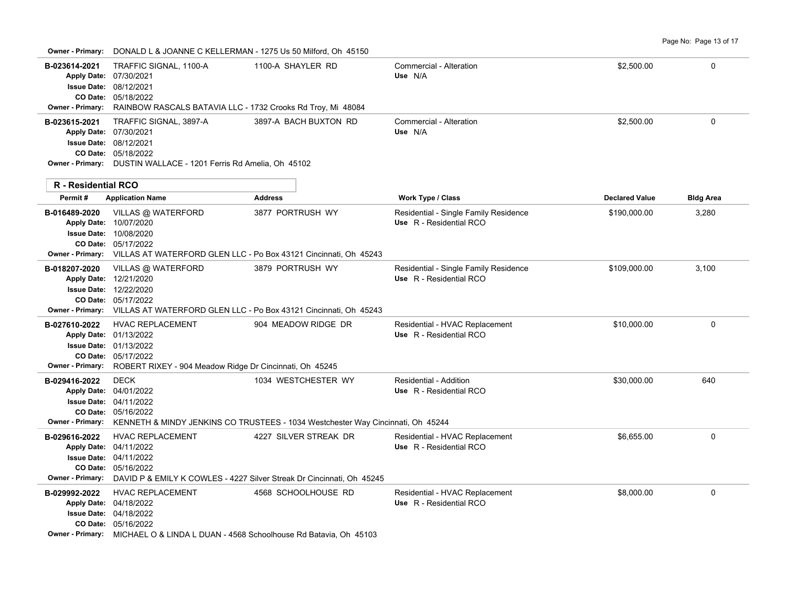**Owner - Primary:** DONALD L & JOANNE C KELLERMAN - 1275 Us 50 Milford, Oh 45150

|                                                                                                        | DOIVALD LIX JOANNE O RELEENMANT TZTJ OS J0 MIIIOIU, ON HJTJ0                                                                                                                |                       |                                                                  |                       |                  |
|--------------------------------------------------------------------------------------------------------|-----------------------------------------------------------------------------------------------------------------------------------------------------------------------------|-----------------------|------------------------------------------------------------------|-----------------------|------------------|
| B-023614-2021<br>Apply Date: 07/30/2021<br><b>Issue Date: 08/12/2021</b><br>Owner - Primary:           | TRAFFIC SIGNAL, 1100-A<br>CO Date: 05/18/2022<br>RAINBOW RASCALS BATAVIA LLC - 1732 Crooks Rd Troy, Mi 48084                                                                | 1100-A SHAYLER RD     | Commercial - Alteration<br>Use N/A                               | \$2,500.00            | 0                |
| B-023615-2021<br>Apply Date: 07/30/2021<br><b>Issue Date: 08/12/2021</b><br><b>R</b> - Residential RCO | TRAFFIC SIGNAL, 3897-A<br>CO Date: 05/18/2022<br>Owner - Primary: DUSTIN WALLACE - 1201 Ferris Rd Amelia, Oh 45102                                                          | 3897-A BACH BUXTON RD | Commercial - Alteration<br>Use N/A                               | \$2,500.00            | 0                |
| Permit#                                                                                                | <b>Application Name</b>                                                                                                                                                     | <b>Address</b>        | Work Type / Class                                                | <b>Declared Value</b> | <b>Bldg Area</b> |
| B-016489-2020<br>Apply Date: 10/07/2020<br>Owner - Primary:                                            | VILLAS @ WATERFORD<br><b>Issue Date: 10/08/2020</b><br>CO Date: 05/17/2022<br>VILLAS AT WATERFORD GLEN LLC - Po Box 43121 Cincinnati, Oh 45243                              | 3877 PORTRUSH WY      | Residential - Single Family Residence<br>Use R - Residential RCO | \$190,000.00          | 3,280            |
| B-018207-2020<br>Apply Date: 12/21/2020<br>Owner - Primary:                                            | VILLAS @ WATERFORD<br><b>Issue Date: 12/22/2020</b><br>CO Date: 05/17/2022<br>VILLAS AT WATERFORD GLEN LLC - Po Box 43121 Cincinnati, Oh 45243                              | 3879 PORTRUSH WY      | Residential - Single Family Residence<br>Use R - Residential RCO | \$109,000.00          | 3,100            |
| B-027610-2022<br>Apply Date: 01/13/2022<br><b>Owner - Primary:</b>                                     | <b>HVAC REPLACEMENT</b><br><b>Issue Date: 01/13/2022</b><br>CO Date: 05/17/2022<br>ROBERT RIXEY - 904 Meadow Ridge Dr Cincinnati, Oh 45245                                  | 904 MEADOW RIDGE DR   | Residential - HVAC Replacement<br>Use R - Residential RCO        | \$10,000.00           | 0                |
| B-029416-2022<br>Apply Date: 04/01/2022                                                                | <b>DECK</b><br><b>Issue Date: 04/11/2022</b><br>CO Date: 05/16/2022<br>Owner - Primary: KENNETH & MINDY JENKINS CO TRUSTEES - 1034 Westchester Way Cincinnati, Oh 45244     | 1034 WESTCHESTER WY   | Residential - Addition<br>Use R - Residential RCO                | \$30,000.00           | 640              |
| B-029616-2022<br>Apply Date: 04/11/2022<br><b>Owner - Primary:</b>                                     | <b>HVAC REPLACEMENT</b><br><b>Issue Date: 04/11/2022</b><br>CO Date: 05/16/2022<br>DAVID P & EMILY K COWLES - 4227 Silver Streak Dr Cincinnati, Oh 45245                    | 4227 SILVER STREAK DR | Residential - HVAC Replacement<br>Use R - Residential RCO        | \$6,655.00            | 0                |
| B-029992-2022<br>Apply Date: 04/18/2022                                                                | <b>HVAC REPLACEMENT</b><br><b>Issue Date: 04/18/2022</b><br>CO Date: 05/16/2022<br><b>Owner - Primary:</b> MICHAEL O & LINDA L DUAN - 4568 Schoolhouse Rd Batavia, Oh 45103 | 4568 SCHOOLHOUSE RD   | Residential - HVAC Replacement<br>Use R - Residential RCO        | \$8,000.00            | 0                |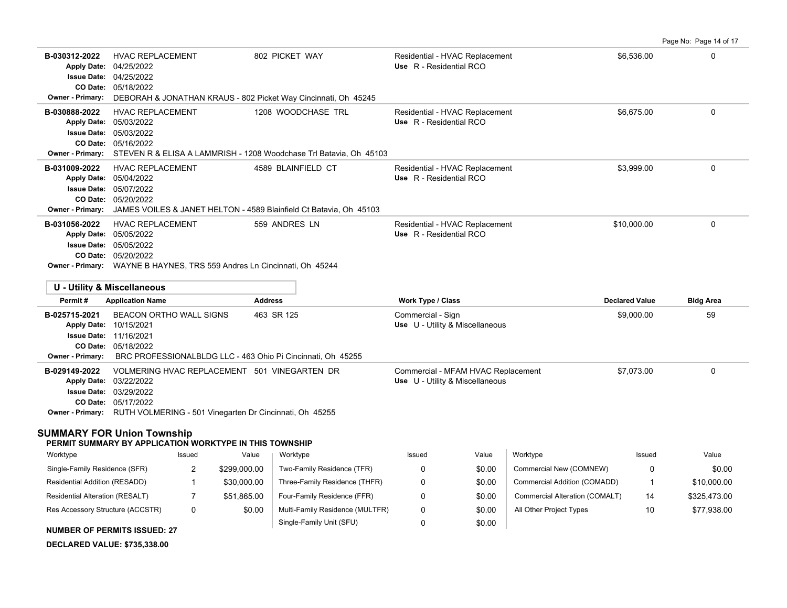Page No: Page 14 of 17 **B-030312-2022** HVAC REPLACEMENT 802 PICKET WAY Residential - HVAC Replacement \$6,536.00 \$6,536.00 05/18/2022 **CO Date:** 04/25/2022 **Issue Date:** Apply Date: 04/25/2022 **Apply Date: Use** R - Residential RCO **Owner - Primary:** DEBORAH & JONATHAN KRAUS - 802 Picket Way Cincinnati, Oh 45245 **B-030888-2022** \$6,675.00 0 HVAC REPLACEMENT 1208 WOODCHASE TRL Residential - HVAC Replacement 05/16/2022 **CO Date:** 05/03/2022 **Issue Date:** 05/03/2022 **Apply Date: Use** R - Residential RCO **Owner - Primary:** STEVEN R & ELISA A LAMMRISH - 1208 Woodchase Trl Batavia, Oh 45103 **B-031009-2022** \$3,999.00 0 05/20/2022 **CO Date:** 05/07/2022 **Issue Date:** 05/04/2022 **Apply Date: Use** R - Residential RCO Residential - HVAC Replacement **Owner - Primary:** JAMES VOILES & JANET HELTON - 4589 Blainfield Ct Batavia, Oh 45103 **B-031056-2022** \$10,000.00 0 HVAC REPLACEMENT 559 ANDRES LN Residential - HVAC Replacement 05/20/2022 **CO Date:** 05/05/2022 **Issue Date:** Apply Date: 05/05/2022 **Apply Date: Use** R - Residential RCO **Owner - Primary:** WAYNE B HAYNES, TRS 559 Andres Ln Cincinnati, Oh 45244 **U - Utility & Miscellaneous Permit # Application Name Address Work Type / Class Declared Value Bldg Area B-025715-2021** BEACON ORTHO WALL SIGNS 463 SR 125 Commercial - Sign Commercial - Sign \$9,000.00 \$9,000.00 59 05/18/2022 **CO Date: Issue Date: 11/16/2021** Apply Date: 10/15/2021 **Apply Date: Use** U - Utility & Miscellaneous **Owner - Primary:** BRC PROFESSIONALBLDG LLC - 463 Ohio Pi Cincinnati, Oh 45255 B-029149-2022 VOLMERING HVAC REPLACEMENT 501 VINEGARTEN DR Commercial - MFAM HVAC Replacement \$7,073.00 \$7,073.00 05/17/2022 **CO Date:** 03/29/2022 **Issue Date:** Apply Date: 03/22/2022 **Apply Date: Use** U - Utility & Miscellaneous **Owner - Primary:** RUTH VOLMERING - 501 Vinegarten Dr Cincinnati, Oh 45255 **SUMMARY FOR Union Township PERMIT SUMMARY BY APPLICATION WORKTYPE IN THIS TOWNSHIP** Issued Value Issued Value Worktype Issued Value Works and the second Worktype

| Worktype                               | Issued | Value        | Worktype                        | Issued | Value  | Worktvpe                       | Issued | Value        |
|----------------------------------------|--------|--------------|---------------------------------|--------|--------|--------------------------------|--------|--------------|
| Single-Family Residence (SFR)          |        | \$299.000.00 | Two-Family Residence (TFR)      |        | \$0.00 | Commercial New (COMNEW)        |        | \$0.00       |
| Residential Addition (RESADD)          |        | \$30,000.00  | Three-Family Residence (THFR)   |        | \$0.00 | Commercial Addition (COMADD)   |        | \$10,000.00  |
| <b>Residential Alteration (RESALT)</b> |        | \$51.865.00  | Four-Family Residence (FFR)     |        | \$0.00 | Commercial Alteration (COMALT) | 14     | \$325.473.00 |
| Res Accessory Structure (ACCSTR)       | 0      | \$0.00       | Multi-Family Residence (MULTFR) |        | \$0.00 | All Other Project Types        | 10     | \$77,938.00  |
|                                        |        |              | Single-Family Unit (SFU)        |        | \$0.00 |                                |        |              |

**NUMBER OF PERMITS ISSUED: 27**

**DECLARED VALUE: \$735,338.00**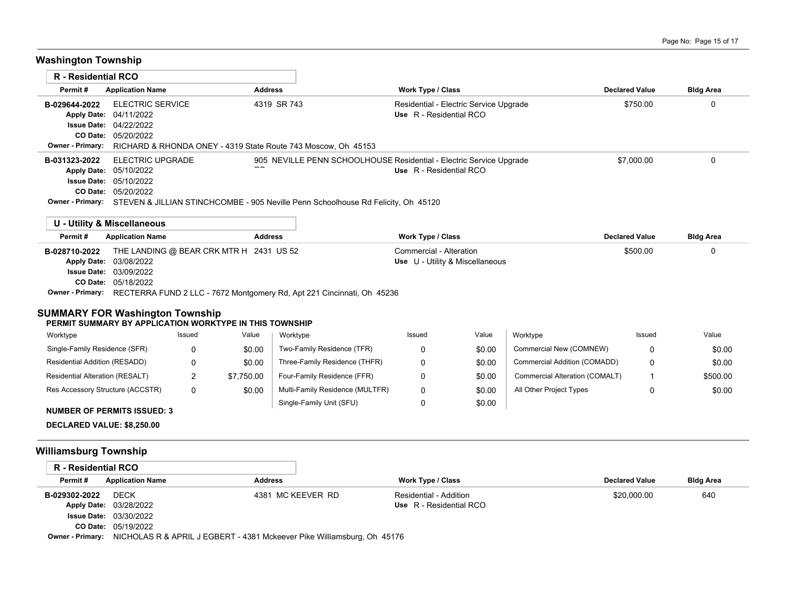# **Washington Township**

| R - Residential RCO |                                                                                                           |                                                                                |                                                                     |                       |                  |  |  |  |  |  |
|---------------------|-----------------------------------------------------------------------------------------------------------|--------------------------------------------------------------------------------|---------------------------------------------------------------------|-----------------------|------------------|--|--|--|--|--|
| Permit#             | <b>Application Name</b>                                                                                   | <b>Address</b>                                                                 | <b>Work Type / Class</b>                                            | <b>Declared Value</b> | <b>Bldg Area</b> |  |  |  |  |  |
| B-029644-2022       | ELECTRIC SERVICE                                                                                          | 4319 SR 743                                                                    | Residential - Electric Service Upgrade                              | \$750.00              |                  |  |  |  |  |  |
|                     | Apply Date: 04/11/2022                                                                                    |                                                                                | Use R - Residential RCO                                             |                       |                  |  |  |  |  |  |
|                     | <b>Issue Date: 04/22/2022</b>                                                                             |                                                                                |                                                                     |                       |                  |  |  |  |  |  |
|                     | CO Date: 05/20/2022                                                                                       |                                                                                |                                                                     |                       |                  |  |  |  |  |  |
|                     |                                                                                                           | Owner - Primary: RICHARD & RHONDA ONEY - 4319 State Route 743 Moscow, Oh 45153 |                                                                     |                       |                  |  |  |  |  |  |
| B-031323-2022       | ELECTRIC UPGRADE                                                                                          |                                                                                | 905 NEVILLE PENN SCHOOLHOUSE Residential - Electric Service Upgrade | \$7,000.00            |                  |  |  |  |  |  |
|                     | Apply Date: 05/10/2022                                                                                    |                                                                                | Use R - Residential RCO                                             |                       |                  |  |  |  |  |  |
|                     | <b>Issue Date: 05/10/2022</b>                                                                             |                                                                                |                                                                     |                       |                  |  |  |  |  |  |
|                     | <b>CO Date: 05/20/2022</b>                                                                                |                                                                                |                                                                     |                       |                  |  |  |  |  |  |
|                     | <b>Owner - Primary:</b> STEVEN & JILLIAN STINCHCOMBE - 905 Neville Penn Schoolhouse Rd Felicity, Oh 45120 |                                                                                |                                                                     |                       |                  |  |  |  |  |  |
|                     | U - Utility & Miscellaneous                                                                               |                                                                                |                                                                     |                       |                  |  |  |  |  |  |

| Permit#       | <b>Application Name</b>                                                                 | <b>Address</b> | <b>Work Type / Class</b>        | <b>Declared Value</b> | <b>Bldg Area</b> |
|---------------|-----------------------------------------------------------------------------------------|----------------|---------------------------------|-----------------------|------------------|
| B-028710-2022 | THE LANDING @ BEAR CRK MTR H 2431 US 52                                                 |                | Commercial - Alteration         | \$500.00              |                  |
|               | <b>Apply Date: 03/08/2022</b>                                                           |                | Use U - Utility & Miscellaneous |                       |                  |
|               | <b>Issue Date: 03/09/2022</b>                                                           |                |                                 |                       |                  |
|               | <b>CO Date: 05/18/2022</b>                                                              |                |                                 |                       |                  |
|               | Owner - Primary: RECTERRA FUND 2 LLC - 7672 Montgomery Rd, Apt 221 Cincinnati, Oh 45236 |                |                                 |                       |                  |
|               |                                                                                         |                |                                 |                       |                  |

### **SUMMARY FOR Washington Township**

#### **PERMIT SUMMARY BY APPLICATION WORKTYPE IN THIS TOWNSHIP**

| Worktype                           | Issued | Value      | Worktype                        | Issued | Value  | Worktype                       | Issued | Value    |
|------------------------------------|--------|------------|---------------------------------|--------|--------|--------------------------------|--------|----------|
| Single-Family Residence (SFR)      |        | \$0.00     | Two-Family Residence (TFR)      |        | \$0.00 | Commercial New (COMNEW)        |        | \$0.00   |
| Residential Addition (RESADD)      |        | \$0.00     | Three-Family Residence (THFR)   |        | \$0.00 | Commercial Addition (COMADD)   |        | \$0.00   |
| Residential Alteration (RESALT)    |        | \$7.750.00 | Four-Family Residence (FFR)     |        | \$0.00 | Commercial Alteration (COMALT) |        | \$500.00 |
| Res Accessory Structure (ACCSTR)   |        | \$0.00     | Multi-Family Residence (MULTFR) |        | \$0.00 | All Other Project Types        |        | \$0.00   |
| <b>NUMBER OF PERMITS ISSUED: 3</b> |        |            | Single-Family Unit (SFU)        |        | \$0.00 |                                |        |          |

**DECLARED VALUE: \$8,250.00**

## **Williamsburg Township**

| R - Residential RCO     |                                                                         |                   |                         |                       |                  |  |  |
|-------------------------|-------------------------------------------------------------------------|-------------------|-------------------------|-----------------------|------------------|--|--|
| Permit#                 | <b>Application Name</b>                                                 | <b>Address</b>    | Work Type / Class       | <b>Declared Value</b> | <b>Bldg Area</b> |  |  |
| B-029302-2022           | <b>DECK</b>                                                             | 4381 MC KEEVER RD | Residential - Addition  | \$20,000.00           | 640              |  |  |
|                         | Apply Date: 03/28/2022                                                  |                   | Use R - Residential RCO |                       |                  |  |  |
|                         | <b>Issue Date: 03/30/2022</b>                                           |                   |                         |                       |                  |  |  |
|                         | <b>CO Date: 05/19/2022</b>                                              |                   |                         |                       |                  |  |  |
| <b>Owner - Primary:</b> | NICHOLAS R & APRIL J EGBERT - 4381 Mckeever Pike Williamsburg, Oh 45176 |                   |                         |                       |                  |  |  |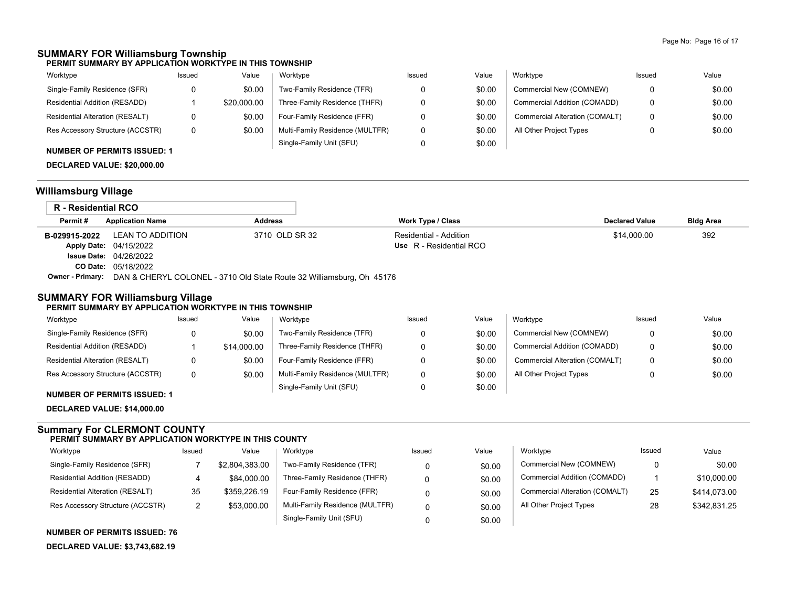## **SUMMARY FOR Williamsburg Township**

**PERMIT SUMMARY BY APPLICATION WORKTYPE IN THIS TOWNSHIP**

| Worktype                         | Issued | Value       | Worktype                        | Issued | Value  | Worktype                       | Issued | Value  |
|----------------------------------|--------|-------------|---------------------------------|--------|--------|--------------------------------|--------|--------|
| Single-Family Residence (SFR)    | 0      | \$0.00      | Two-Family Residence (TFR)      |        | \$0.00 | Commercial New (COMNEW)        |        | \$0.00 |
| Residential Addition (RESADD)    |        | \$20,000.00 | Three-Family Residence (THFR)   |        | \$0.00 | Commercial Addition (COMADD)   | 0      | \$0.00 |
| Residential Alteration (RESALT)  |        | \$0.00      | Four-Family Residence (FFR)     |        | \$0.00 | Commercial Alteration (COMALT) | 0      | \$0.00 |
| Res Accessory Structure (ACCSTR) | 0      | \$0.00      | Multi-Family Residence (MULTFR) |        | \$0.00 | All Other Project Types        |        | \$0.00 |
| MUMBER OF BERMITS ISSUED. 4      |        |             | Single-Family Unit (SFU)        |        | \$0.00 |                                |        |        |

## **NUMBER OF PERMITS ISSUED: 1**

**DECLARED VALUE: \$20,000.00**

## **Williamsburg Village**

| R - Residential RCO     |                               |                                                                       |                         |                       |                  |
|-------------------------|-------------------------------|-----------------------------------------------------------------------|-------------------------|-----------------------|------------------|
| Permit#                 | <b>Application Name</b>       | <b>Address</b>                                                        | Work Type / Class       | <b>Declared Value</b> | <b>Bldg Area</b> |
| B-029915-2022           | LEAN TO ADDITION              | 3710 OLD SR 32                                                        | Residential - Addition  | \$14.000.00           | 392              |
|                         | Apply Date: 04/15/2022        |                                                                       | Use R - Residential RCO |                       |                  |
|                         | <b>Issue Date: 04/26/2022</b> |                                                                       |                         |                       |                  |
|                         | <b>CO Date: 05/18/2022</b>    |                                                                       |                         |                       |                  |
| <b>Owner - Primary:</b> |                               | DAN & CHERYL COLONEL - 3710 Old State Route 32 Williamsburg, Oh 45176 |                         |                       |                  |

### **SUMMARY FOR Williamsburg Village**

#### **PERMIT SUMMARY BY APPLICATION WORKTYPE IN THIS TOWNSHIP**

| Worktype                         | Issued | Value       | Worktype                        | Issued | Value  | Worktype                       | Issued | Value  |
|----------------------------------|--------|-------------|---------------------------------|--------|--------|--------------------------------|--------|--------|
| Single-Family Residence (SFR)    |        | \$0.00      | Two-Family Residence (TFR)      |        | \$0.00 | Commercial New (COMNEW)        |        | \$0.00 |
| Residential Addition (RESADD)    |        | \$14,000.00 | Three-Family Residence (THFR)   |        | \$0.00 | Commercial Addition (COMADD)   | 0      | \$0.00 |
| Residential Alteration (RESALT)  |        | \$0.00      | Four-Family Residence (FFR)     |        | \$0.00 | Commercial Alteration (COMALT) | 0      | \$0.00 |
| Res Accessory Structure (ACCSTR) | 0      | \$0.00      | Multi-Family Residence (MULTFR) |        | \$0.00 | All Other Project Types        |        | \$0.00 |
|                                  |        |             | Single-Family Unit (SFU)        |        | \$0.00 |                                |        |        |

## **NUMBER OF PERMITS ISSUED: 1**

**DECLARED VALUE: \$14,000.00**

#### **Summary For CLERMONT COUNTY PERMIT SUMMARY BY APPLICATION WORKTYPE IN THIS COUNTY**

| Worktype                         | Issued | Value          | Worktype                        | Issued | Value  | Worktype                       | Issued | Value        |
|----------------------------------|--------|----------------|---------------------------------|--------|--------|--------------------------------|--------|--------------|
| Single-Family Residence (SFR)    |        | \$2.804.383.00 | Two-Family Residence (TFR)      |        | \$0.00 | Commercial New (COMNEW)        | 0      | \$0.00       |
| Residential Addition (RESADD)    |        | \$84,000.00    | Three-Family Residence (THFR)   |        | \$0.00 | Commercial Addition (COMADD)   |        | \$10,000.00  |
| Residential Alteration (RESALT)  | 35     | \$359,226.19   | Four-Family Residence (FFR)     |        | \$0.00 | Commercial Alteration (COMALT) | 25     | \$414,073.00 |
| Res Accessory Structure (ACCSTR) | ∠      | \$53,000.00    | Multi-Family Residence (MULTFR) |        | \$0.00 | All Other Project Types        | 28     | \$342,831.25 |
|                                  |        |                | Single-Family Unit (SFU)        |        | \$0.00 |                                |        |              |

**NUMBER OF PERMITS ISSUED: 76**

**DECLARED VALUE: \$3,743,682.19**